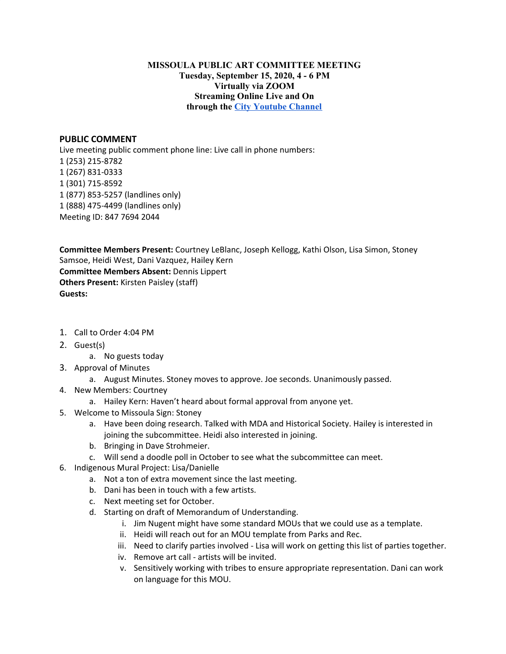## **MISSOULA PUBLIC ART COMMITTEE MEETING Tuesday, September 15, 2020, 4 - 6 PM Virtually via ZOOM Streaming Online Live and On through the City [Youtube](https://www.youtube.com/channel/UC5fnfMPFGSk8Gwq6F5UoqGg) Channel**

## **PUBLIC COMMENT**

Live meeting public comment phone line: Live call in phone numbers: (253) 215-8782 (267) 831-0333 (301) 715-8592 (877) 853-5257 (landlines only) (888) 475-4499 (landlines only) Meeting ID: 847 7694 2044

**Committee Members Present:** Courtney LeBlanc, Joseph Kellogg, Kathi Olson, Lisa Simon, Stoney Samsoe, Heidi West, Dani Vazquez, Hailey Kern **Committee Members Absent:** Dennis Lippert **Others Present:** Kirsten Paisley (staff) **Guests:**

- 1. Call to Order 4:04 PM
- 2. Guest(s)
	- a. No guests today
- 3. Approval of Minutes
	- a. August Minutes. Stoney moves to approve. Joe seconds. Unanimously passed.
- 4. New Members: Courtney
	- a. Hailey Kern: Haven't heard about formal approval from anyone yet.
- 5. Welcome to Missoula Sign: Stoney
	- a. Have been doing research. Talked with MDA and Historical Society. Hailey is interested in joining the subcommittee. Heidi also interested in joining.
	- b. Bringing in Dave Strohmeier.
	- c. Will send a doodle poll in October to see what the subcommittee can meet.
- 6. Indigenous Mural Project: Lisa/Danielle
	- a. Not a ton of extra movement since the last meeting.
	- b. Dani has been in touch with a few artists.
	- c. Next meeting set for October.
	- d. Starting on draft of Memorandum of Understanding.
		- i. Jim Nugent might have some standard MOUs that we could use as a template.
		- ii. Heidi will reach out for an MOU template from Parks and Rec.
		- iii. Need to clarify parties involved Lisa will work on getting this list of parties together.
		- iv. Remove art call artists will be invited.
		- v. Sensitively working with tribes to ensure appropriate representation. Dani can work on language for this MOU.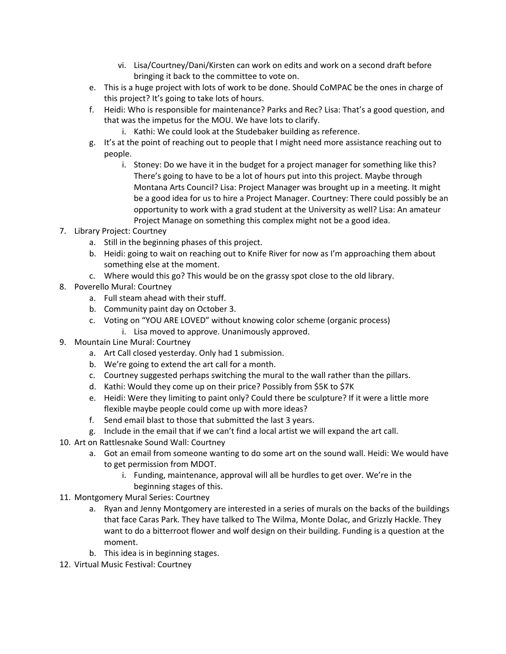- vi. Lisa/Courtney/Dani/Kirsten can work on edits and work on a second draft before bringing it back to the committee to vote on.
- e. This is a huge project with lots of work to be done. Should CoMPAC be the ones in charge of this project? It's going to take lots of hours.
- f. Heidi: Who is responsible for maintenance? Parks and Rec? Lisa: That's a good question, and that was the impetus for the MOU. We have lots to clarify.
	- i. Kathi: We could look at the Studebaker building as reference.
- g. It's at the point of reaching out to people that I might need more assistance reaching out to people.
	- i. Stoney: Do we have it in the budget for a project manager for something like this? There's going to have to be a lot of hours put into this project. Maybe through Montana Arts Council? Lisa: Project Manager was brought up in a meeting. It might be a good idea for us to hire a Project Manager. Courtney: There could possibly be an opportunity to work with a grad student at the University as well? Lisa: An amateur Project Manage on something this complex might not be a good idea.
- 7. Library Project: Courtney
	- a. Still in the beginning phases of this project.
	- b. Heidi: going to wait on reaching out to Knife River for now as I'm approaching them about something else at the moment.
	- c. Where would this go? This would be on the grassy spot close to the old library.
- 8. Poverello Mural: Courtney
	- a. Full steam ahead with their stuff.
	- b. Community paint day on October 3.
	- c. Voting on "YOU ARE LOVED" without knowing color scheme (organic process)
		- i. Lisa moved to approve. Unanimously approved.
- 9. Mountain Line Mural: Courtney
	- a. Art Call closed yesterday. Only had 1 submission.
	- b. We're going to extend the art call for a month.
	- c. Courtney suggested perhaps switching the mural to the wall rather than the pillars.
	- d. Kathi: Would they come up on their price? Possibly from \$5K to \$7K
	- e. Heidi: Were they limiting to paint only? Could there be sculpture? If it were a little more flexible maybe people could come up with more ideas?
	- f. Send email blast to those that submitted the last 3 years.
	- g. Include in the email that if we can't find a local artist we will expand the art call.
- 10. Art on Rattlesnake Sound Wall: Courtney
	- a. Got an email from someone wanting to do some art on the sound wall. Heidi: We would have to get permission from MDOT.
		- i. Funding, maintenance, approval will all be hurdles to get over. We're in the beginning stages of this.
- 11. Montgomery Mural Series: Courtney
	- a. Ryan and Jenny Montgomery are interested in a series of murals on the backs of the buildings that face Caras Park. They have talked to The Wilma, Monte Dolac, and Grizzly Hackle. They want to do a bitterroot flower and wolf design on their building. Funding is a question at the moment.
	- b. This idea is in beginning stages.
- 12. Virtual Music Festival: Courtney